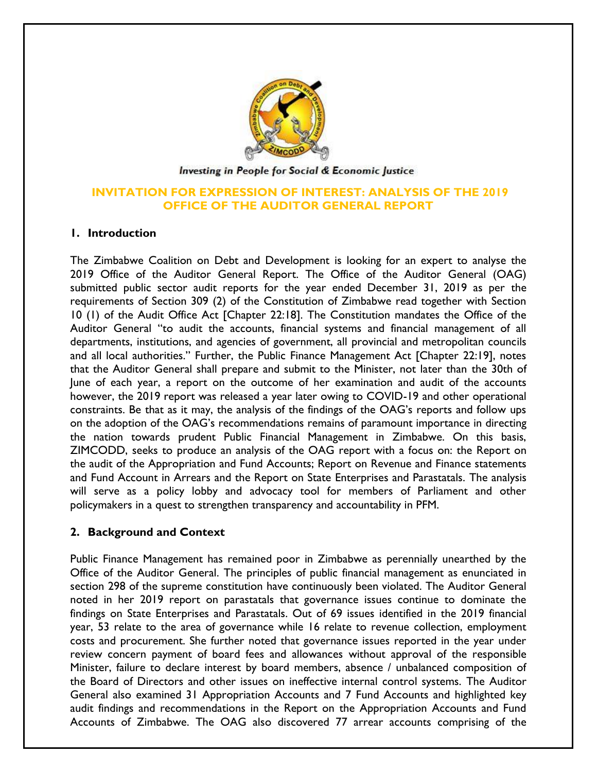

#### Investing in People for Social & Economic Justice

# **INVITATION FOR EXPRESSION OF INTEREST: ANALYSIS OF THE 2019 OFFICE OF THE AUDITOR GENERAL REPORT**

### **1. Introduction**

The Zimbabwe Coalition on Debt and Development is looking for an expert to analyse the 2019 Office of the Auditor General Report. The Office of the Auditor General (OAG) submitted public sector audit reports for the year ended December 31, 2019 as per the requirements of Section 309 (2) of the Constitution of Zimbabwe read together with Section 10 (1) of the Audit Office Act [Chapter 22:18]. The Constitution mandates the Office of the Auditor General "to audit the accounts, financial systems and financial management of all departments, institutions, and agencies of government, all provincial and metropolitan councils and all local authorities." Further, the Public Finance Management Act [Chapter 22:19], notes that the Auditor General shall prepare and submit to the Minister, not later than the 30th of June of each year, a report on the outcome of her examination and audit of the accounts however, the 2019 report was released a year later owing to COVID-19 and other operational constraints. Be that as it may, the analysis of the findings of the OAG's reports and follow ups on the adoption of the OAG's recommendations remains of paramount importance in directing the nation towards prudent Public Financial Management in Zimbabwe. On this basis, ZIMCODD, seeks to produce an analysis of the OAG report with a focus on: the Report on the audit of the Appropriation and Fund Accounts; Report on Revenue and Finance statements and Fund Account in Arrears and the Report on State Enterprises and Parastatals. The analysis will serve as a policy lobby and advocacy tool for members of Parliament and other policymakers in a quest to strengthen transparency and accountability in PFM.

# **2. Background and Context**

Public Finance Management has remained poor in Zimbabwe as perennially unearthed by the Office of the Auditor General. The principles of public financial management as enunciated in section 298 of the supreme constitution have continuously been violated. The Auditor General noted in her 2019 report on parastatals that governance issues continue to dominate the findings on State Enterprises and Parastatals. Out of 69 issues identified in the 2019 financial year, 53 relate to the area of governance while 16 relate to revenue collection, employment costs and procurement. She further noted that governance issues reported in the year under review concern payment of board fees and allowances without approval of the responsible Minister, failure to declare interest by board members, absence / unbalanced composition of the Board of Directors and other issues on ineffective internal control systems. The Auditor General also examined 31 Appropriation Accounts and 7 Fund Accounts and highlighted key audit findings and recommendations in the Report on the Appropriation Accounts and Fund Accounts of Zimbabwe. The OAG also discovered 77 arrear accounts comprising of the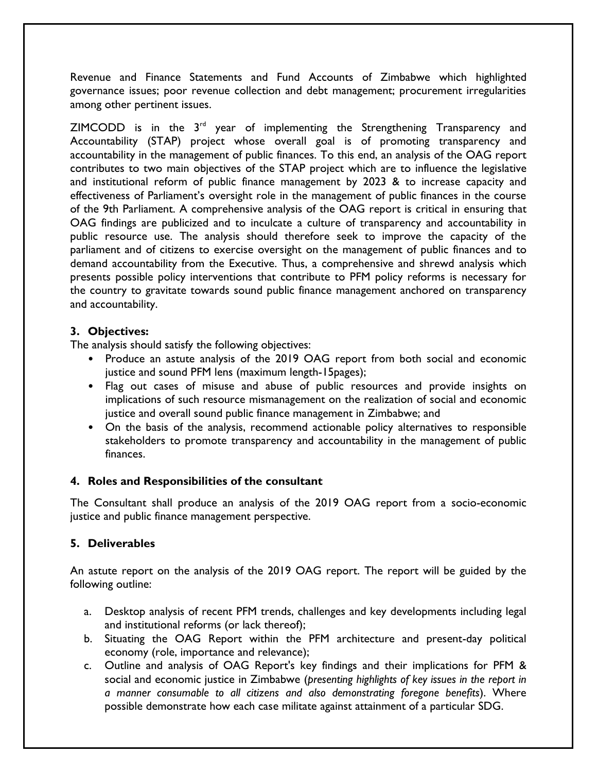Revenue and Finance Statements and Fund Accounts of Zimbabwe which highlighted governance issues; poor revenue collection and debt management; procurement irregularities among other pertinent issues.

 $ZIMCODE$  is in the  $3<sup>rd</sup>$  year of implementing the Strengthening Transparency and Accountability (STAP) project whose overall goal is of promoting transparency and accountability in the management of public finances. To this end, an analysis of the OAG report contributes to two main objectives of the STAP project which are to influence the legislative and institutional reform of public finance management by 2023 & to increase capacity and effectiveness of Parliament's oversight role in the management of public finances in the course of the 9th Parliament. A comprehensive analysis of the OAG report is critical in ensuring that OAG findings are publicized and to inculcate a culture of transparency and accountability in public resource use. The analysis should therefore seek to improve the capacity of the parliament and of citizens to exercise oversight on the management of public finances and to demand accountability from the Executive. Thus, a comprehensive and shrewd analysis which presents possible policy interventions that contribute to PFM policy reforms is necessary for the country to gravitate towards sound public finance management anchored on transparency and accountability.

# **3. Objectives:**

The analysis should satisfy the following objectives:

- Produce an astute analysis of the 2019 OAG report from both social and economic justice and sound PFM lens (maximum length-15 pages);
- Flag out cases of misuse and abuse of public resources and provide insights on implications of such resource mismanagement on the realization of social and economic justice and overall sound public finance management in Zimbabwe; and
- On the basis of the analysis, recommend actionable policy alternatives to responsible stakeholders to promote transparency and accountability in the management of public finances.

# **4. Roles and Responsibilities of the consultant**

The Consultant shall produce an analysis of the 2019 OAG report from a socio-economic justice and public finance management perspective.

# **5. Deliverables**

An astute report on the analysis of the 2019 OAG report. The report will be guided by the following outline:

- a. Desktop analysis of recent PFM trends, challenges and key developments including legal and institutional reforms (or lack thereof);
- b. Situating the OAG Report within the PFM architecture and present-day political economy (role, importance and relevance);
- c. Outline and analysis of OAG Report's key findings and their implications for PFM & social and economic justice in Zimbabwe (*presenting highlights of key issues in the report in a manner consumable to all citizens and also demonstrating foregone benefits*). Where possible demonstrate how each case militate against attainment of a particular SDG.